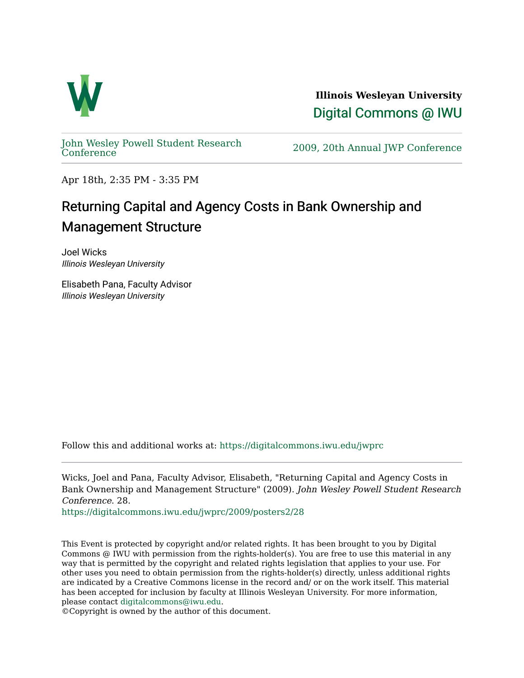

**Illinois Wesleyan University**  [Digital Commons @ IWU](https://digitalcommons.iwu.edu/) 

[John Wesley Powell Student Research](https://digitalcommons.iwu.edu/jwprc) 

2009, 20th Annual JWP [Conference](https://digitalcommons.iwu.edu/jwprc)

Apr 18th, 2:35 PM - 3:35 PM

## Returning Capital and Agency Costs in Bank Ownership and Management Structure

Joel Wicks Illinois Wesleyan University

Elisabeth Pana, Faculty Advisor Illinois Wesleyan University

Follow this and additional works at: [https://digitalcommons.iwu.edu/jwprc](https://digitalcommons.iwu.edu/jwprc?utm_source=digitalcommons.iwu.edu%2Fjwprc%2F2009%2Fposters2%2F28&utm_medium=PDF&utm_campaign=PDFCoverPages) 

Wicks, Joel and Pana, Faculty Advisor, Elisabeth, "Returning Capital and Agency Costs in Bank Ownership and Management Structure" (2009). John Wesley Powell Student Research Conference. 28.

[https://digitalcommons.iwu.edu/jwprc/2009/posters2/28](https://digitalcommons.iwu.edu/jwprc/2009/posters2/28?utm_source=digitalcommons.iwu.edu%2Fjwprc%2F2009%2Fposters2%2F28&utm_medium=PDF&utm_campaign=PDFCoverPages) 

This Event is protected by copyright and/or related rights. It has been brought to you by Digital Commons @ IWU with permission from the rights-holder(s). You are free to use this material in any way that is permitted by the copyright and related rights legislation that applies to your use. For other uses you need to obtain permission from the rights-holder(s) directly, unless additional rights are indicated by a Creative Commons license in the record and/ or on the work itself. This material has been accepted for inclusion by faculty at Illinois Wesleyan University. For more information, please contact [digitalcommons@iwu.edu.](mailto:digitalcommons@iwu.edu)

©Copyright is owned by the author of this document.